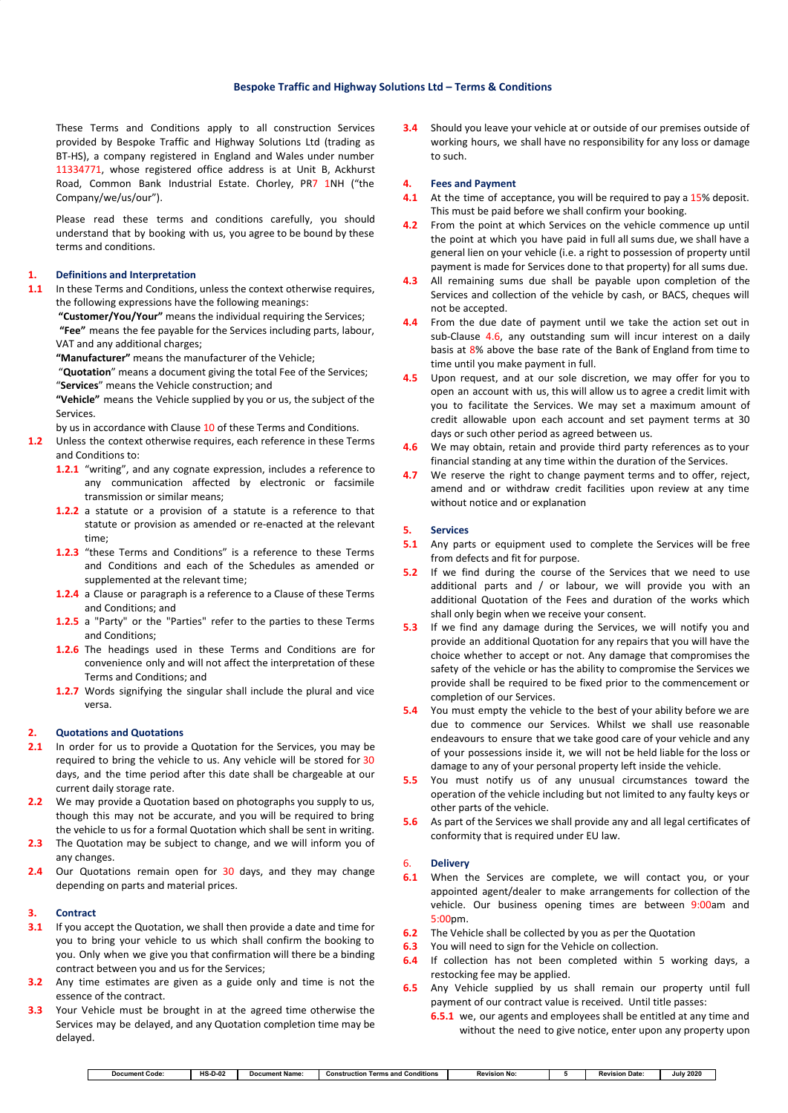### **Bespoke Traffic and Highway Solutions Ltd – Terms & Conditions**

These Terms and Conditions apply to all construction Services provided by Bespoke Traffic and Highway Solutions Ltd (trading as BT-HS), a company registered in England and Wales under number 11334771, whose registered office address is at Unit B, Ackhurst Road, Common Bank Industrial Estate. Chorley, PR7 1NH ("the Company/we/us/our").

Please read these terms and conditions carefully, you should understand that by booking with us, you agree to be bound by these terms and conditions.

### **1. Definitions and Interpretation**

**1.1** In these Terms and Conditions, unless the context otherwise requires, the following expressions have the following meanings:

**"Customer/You/Your"** means the individual requiring the Services; **"Fee"** means the fee payable for the Services including parts, labour, VAT and any additional charges;

**"Manufacturer"** means the manufacturer of the Vehicle;

"**Quotation**" means a document giving the total Fee of the Services; "**Services**" means the Vehicle construction; and

**"Vehicle"** means the Vehicle supplied by you or us, the subject of the Services.

by us in accordance with Clause 10 of these Terms and Conditions.

- **1.2** Unless the context otherwise requires, each reference in these Terms and Conditions to:
	- **1.2.1** "writing", and any cognate expression, includes a reference to any communication affected by electronic or facsimile transmission or similar means;
	- **1.2.2** a statute or a provision of a statute is a reference to that statute or provision as amended or re-enacted at the relevant time;
	- **1.2.3** "these Terms and Conditions" is a reference to these Terms and Conditions and each of the Schedules as amended or supplemented at the relevant time;
	- **1.2.4** a Clause or paragraph is a reference to a Clause of these Terms and Conditions; and
	- **1.2.5** a "Party" or the "Parties" refer to the parties to these Terms and Conditions;
	- **1.2.6** The headings used in these Terms and Conditions are for convenience only and will not affect the interpretation of these Terms and Conditions; and
	- **1.2.7** Words signifying the singular shall include the plural and vice versa.

#### **2. Quotations and Quotations**

- **2.1** In order for us to provide a Quotation for the Services, you may be required to bring the vehicle to us. Any vehicle will be stored for 30 days, and the time period after this date shall be chargeable at our current daily storage rate.
- **2.2** We may provide a Quotation based on photographs you supply to us, though this may not be accurate, and you will be required to bring the vehicle to us for a formal Quotation which shall be sent in writing.
- **2.3** The Quotation may be subject to change, and we will inform you of any changes.
- **2.4** Our Quotations remain open for 30 days, and they may change depending on parts and material prices.

#### **3. Contract**

- **3.1** If you accept the Quotation, we shall then provide a date and time for you to bring your vehicle to us which shall confirm the booking to you. Only when we give you that confirmation will there be a binding contract between you and us for the Services;
- **3.2** Any time estimates are given as a guide only and time is not the essence of the contract.
- **3.3** Your Vehicle must be brought in at the agreed time otherwise the Services may be delayed, and any Quotation completion time may be delayed.

**3.4** Should you leave your vehicle at or outside of our premises outside of working hours, we shall have no responsibility for any loss or damage to such.

#### **4. Fees and Payment**

- **4.1** At the time of acceptance, you will be required to pay a 15% deposit. This must be paid before we shall confirm your booking.
- **4.2** From the point at which Services on the vehicle commence up until the point at which you have paid in full all sums due, we shall have a general lien on your vehicle (i.e. a right to possession of property until payment is made for Services done to that property) for all sums due.
- **4.3** All remaining sums due shall be payable upon completion of the Services and collection of the vehicle by cash, or BACS, cheques will not be accepted.
- **4.4** From the due date of payment until we take the action set out in sub-Clause 4.6, any outstanding sum will incur interest on a daily basis at 8% above the base rate of the Bank of England from time to time until you make payment in full.
- **4.5** Upon request, and at our sole discretion, we may offer for you to open an account with us, this will allow us to agree a credit limit with you to facilitate the Services. We may set a maximum amount of credit allowable upon each account and set payment terms at 30 days or such other period as agreed between us.
- **4.6** We may obtain, retain and provide third party references as to your financial standing at any time within the duration of the Services.
- **4.7** We reserve the right to change payment terms and to offer, reject, amend and or withdraw credit facilities upon review at any time without notice and or explanation

#### **5. Services**

- **5.1** Any parts or equipment used to complete the Services will be free from defects and fit for purpose.
- **5.2** If we find during the course of the Services that we need to use additional parts and / or labour, we will provide you with an additional Quotation of the Fees and duration of the works which shall only begin when we receive your consent.
- **5.3** If we find any damage during the Services, we will notify you and provide an additional Quotation for any repairs that you will have the choice whether to accept or not. Any damage that compromises the safety of the vehicle or has the ability to compromise the Services we provide shall be required to be fixed prior to the commencement or completion of our Services.
- **5.4** You must empty the vehicle to the best of your ability before we are due to commence our Services. Whilst we shall use reasonable endeavours to ensure that we take good care of your vehicle and any of your possessions inside it, we will not be held liable for the loss or damage to any of your personal property left inside the vehicle.
- **5.5** You must notify us of any unusual circumstances toward the operation of the vehicle including but not limited to any faulty keys or other parts of the vehicle.
- **5.6** As part of the Services we shall provide any and all legal certificates of conformity that is required under EU law.

### 6. **Delivery**

- **6.1** When the Services are complete, we will contact you, or your appointed agent/dealer to make arrangements for collection of the vehicle. Our business opening times are between 9:00am and 5:00pm.
- **6.2** The Vehicle shall be collected by you as per the Quotation
- **6.3** You will need to sign for the Vehicle on collection.
- **6.4** If collection has not been completed within 5 working days, a restocking fee may be applied.
- **6.5** Any Vehicle supplied by us shall remain our property until full payment of our contract value is received. Until title passes:
	- **6.5.1** we, our agents and employees shall be entitled at any time and without the need to give notice, enter upon any property upon

|  | ument Code:<br>Docum <sup>2</sup> | $\overline{110}$<br>0-07-<br>- 13-11 | <b>Document Name:</b> | ïtions<br>and<br>− construction<br>Terms | vision No:<br>ĸe. |  | ı Date<br>. .<br>Revisic | 2020<br>July |
|--|-----------------------------------|--------------------------------------|-----------------------|------------------------------------------|-------------------|--|--------------------------|--------------|
|--|-----------------------------------|--------------------------------------|-----------------------|------------------------------------------|-------------------|--|--------------------------|--------------|